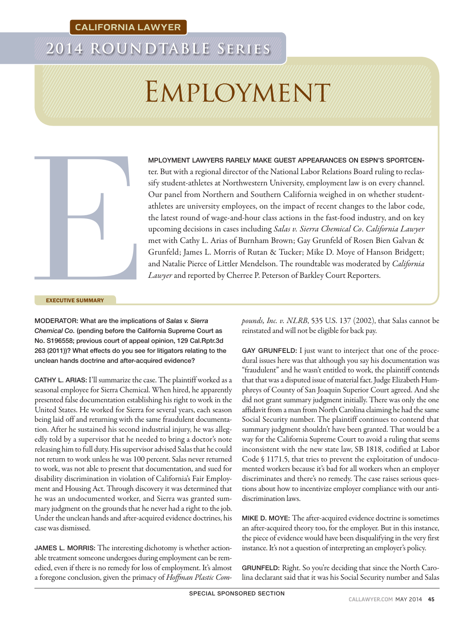# **2014 ROUNDTABLE Series**

# Employment



MPLOYMENT LAWYERS RARELY MAKE GUEST APPEARANCES ON ESPN'S SPORTCENter. But with a regional director of the National Labor Relations Board ruling to reclassify student-athletes at Northwestern University, employment law is on every channel. Our panel from Northern and Southern California weighed in on whether studentathletes are university employees, on the impact of recent changes to the labor code, the latest round of wage-and-hour class actions in the fast-food industry, and on key upcoming decisions in cases including *Salas v. Sierra Chemical Co*. *California Lawyer* met with Cathy L. Arias of Burnham Brown; Gay Grunfeld of Rosen Bien Galvan & Grunfeld; James L. Morris of Rutan & Tucker; Mike D. Moye of Hanson Bridgett; and Natalie Pierce of Littler Mendelson. The roundtable was moderated by *California Lawyer* and reported by Cherree P. Peterson of Barkley Court Reporters.

EXECUTIVE SUMMARY

MODERATOR: What are the implications of *Salas v. Sierra Chemical Co.* (pending before the California Supreme Court as No. S196558; previous court of appeal opinion, 129 Cal.Rptr.3d 263 (2011))? What effects do you see for litigators relating to the unclean hands doctrine and after-acquired evidence?

CATHY L. ARIAS: I'll summarize the case. The plaintiff worked as a seasonal employee for Sierra Chemical. When hired, he apparently presented false documentation establishing his right to work in the United States. He worked for Sierra for several years, each season being laid off and returning with the same fraudulent documentation. After he sustained his second industrial injury, he was allegedly told by a supervisor that he needed to bring a doctor's note releasing him to full duty. His supervisor advised Salas that he could not return to work unless he was 100 percent. Salas never returned to work, was not able to present that documentation, and sued for disability discrimination in violation of California's Fair Employment and Housing Act. Through discovery it was determined that he was an undocumented worker, and Sierra was granted summary judgment on the grounds that he never had a right to the job. Under the unclean hands and after-acquired evidence doctrines, his case was dismissed.

JAMES L. MORRIS: The interesting dichotomy is whether actionable treatment someone undergoes during employment can be remedied, even if there is no remedy for loss of employment. It's almost a foregone conclusion, given the primacy of *Hoffman Plastic Com-* *pounds, Inc. v. NLRB*, 535 U.S. 137 (2002), that Salas cannot be reinstated and will not be eligible for back pay.

GAY GRUNFELD: I just want to interject that one of the procedural issues here was that although you say his documentation was "fraudulent" and he wasn't entitled to work, the plaintiff contends that that was a disputed issue of material fact. Judge Elizabeth Humphreys of County of San Joaquin Superior Court agreed. And she did not grant summary judgment initially. There was only the one affidavit from a man from North Carolina claiming he had the same Social Security number. The plaintiff continues to contend that summary judgment shouldn't have been granted. That would be a way for the California Supreme Court to avoid a ruling that seems inconsistent with the new state law, SB 1818, codified at Labor Code § 1171.5, that tries to prevent the exploitation of undocumented workers because it's bad for all workers when an employer discriminates and there's no remedy. The case raises serious questions about how to incentivize employer compliance with our antidiscrimination laws.

MIKE D. MOYE: The after-acquired evidence doctrine is sometimes an after-acquired theory too, for the employer. But in this instance, the piece of evidence would have been disqualifying in the very first instance. It's not a question of interpreting an employer's policy.

GRUNFELD: Right. So you're deciding that since the North Carolina declarant said that it was his Social Security number and Salas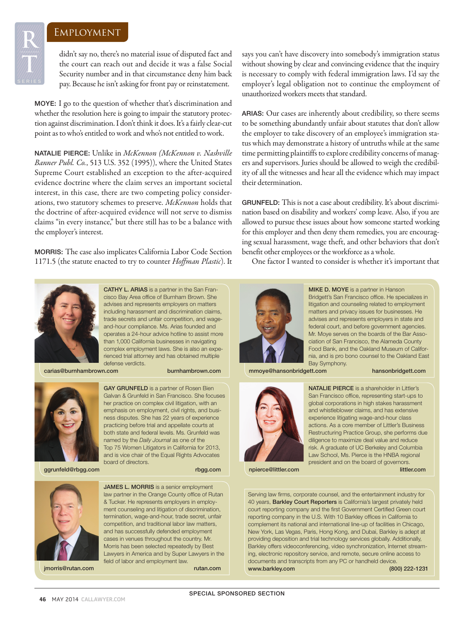**R**

**TAN** 

didn't say no, there's no material issue of disputed fact and the court can reach out and decide it was a false Social Security number and in that circumstance deny him back pay. Because he isn't asking for front pay or reinstatement.

MOYE: I go to the question of whether that's discrimination and whether the resolution here is going to impair the statutory protection against discrimination. I don't think it does. It's a fairly clear-cut point as to who's entitled to work and who's not entitled to work.

NATALIE PIERCE: Unlike in *McKennon (McKennon v. Nashville Banner Publ. Co.*, 513 U.S. 352 (1995)), where the United States Supreme Court established an exception to the after-acquired evidence doctrine where the claim serves an important societal interest, in this case, there are two competing policy considerations, two statutory schemes to preserve. *McKennon* holds that the doctrine of after-acquired evidence will not serve to dismiss claims "in every instance," but there still has to be a balance with the employer's interest.

MORRIS: The case also implicates California Labor Code Section 1171.5 (the statute enacted to try to counter *Hoffman Plastic*). It says you can't have discovery into somebody's immigration status without showing by clear and convincing evidence that the inquiry is necessary to comply with federal immigration laws. I'd say the employer's legal obligation not to continue the employment of unauthorized workers meets that standard.

ARIAS: Our cases are inherently about credibility, so there seems to be something abundantly unfair about statutes that don't allow the employer to take discovery of an employee's immigration status which may demonstrate a history of untruths while at the same time permitting plaintiffs to explore credibility concerns of managers and supervisors. Juries should be allowed to weigh the credibility of all the witnesses and hear all the evidence which may impact their determination.

GRUNFELD: This is not a case about credibility. It's about discrimination based on disability and workers' comp leave. Also, if you are allowed to pursue these issues about how someone started working for this employer and then deny them remedies, you are encouraging sexual harassment, wage theft, and other behaviors that don't benefit other employees or the workforce as a whole.

One factor I wanted to consider is whether it's important that



CATHY L. ARIAS is a partner in the San Francisco Bay Area office of Burnham Brown. She advises and represents employers on matters including harassment and discrimination claims, trade secrets and unfair competition, and wageand-hour compliance. Ms. Arias founded and operates a 24-hour advice hotline to assist more than 1,000 California businesses in navigating complex employment laws. She is also an experienced trial attorney and has obtained multiple defense verdicts.

carias@burnhambrown.com burnhambrown.com



ggrunfeld@rbgg.com rbgg.com rbgg.com

GAY GRUNFELD is a partner of Rosen Bien Galvan & Grunfeld in San Francisco. She focuses her practice on complex civil litigation, with an emphasis on employment, civil rights, and business disputes. She has 22 years of experience practicing before trial and appellate courts at both state and federal levels. Ms. Grunfeld was named by the *Daily Journal* as one of the Top 75 Women Litigators in California for 2013, and is vice chair of the Equal Rights Advocates board of directors.

JAMES L. MORRIS is a senior employment law partner in the Orange County office of Rutan & Tucker. He represents employers in employment counseling and litigation of discrimination,

competition, and traditional labor law matters, and has successfully defended employment



jmorris@rutan.com rutan.com

cases in venues throughout the country. Mr. Morris has been selected repeatedly by Best Lawyers in America and by Super Lawyers in the field of labor and employment law.



MIKE D. MOYE is a partner in Hanson Bridgett's San Francisco office. He specializes in litigation and counseling related to employment matters and privacy issues for businesses. He advises and represents employers in state and federal court, and before government agencies. Mr. Moye serves on the boards of the Bar Association of San Francisco, the Alameda County Food Bank, and the Oakland Museum of California, and is pro bono counsel to the Oakland East Bay Symphony.

mmoye@hansonbridgett.com hansonbridgett.com



NATALIE PIERCE is a shareholder in Littler's San Francisco office, representing start-ups to global corporations in high stakes harassment and whistleblower claims, and has extensive experience litigating wage-and-hour class actions. As a core member of Littler's Business Restructuring Practice Group, she performs due diligence to maximize deal value and reduce risk. A graduate of UC Berkeley and Columbia Law School, Ms. Pierce is the HNBA regional president and on the board of governors. npierce@littler.com littler.com littler.com

Serving law firms, corporate counsel, and the entertainment industry for 40 years, **Barkley Court Reporters** is California's largest privately held court reporting company and the first Government Certified Green court reporting company in the U.S. With 10 Barkley offices in California to complement its national and international line-up of facilities in Chicago, New York, Las Vegas, Paris, Hong Kong, and Dubai, Barkley is adept at providing deposition and trial technology services globally. Additionally, Barkley offers videoconferencing, video synchronization, Internet streaming, electronic repository service, and remote, secure online access to documents and transcripts from any PC or handheld device. www.barkley.com (800) 222-1231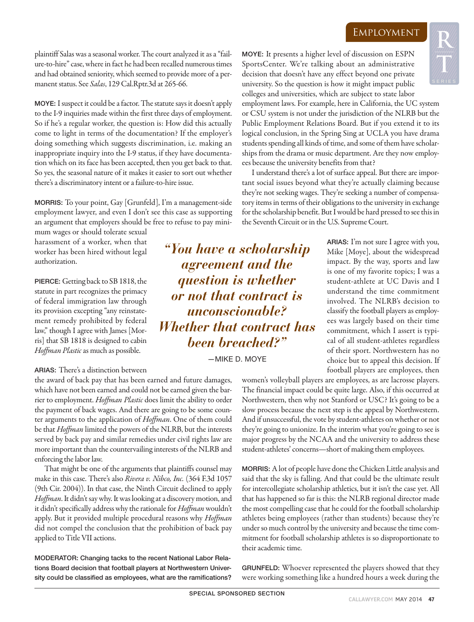ARIAS: I'm not sure I agree with you, Mike [Moye], about the widespread impact. By the way, sports and law is one of my favorite topics; I was a student-athlete at UC Davis and I understand the time commitment involved. The NLRB's decision to classify the football players as employees was largely based on their time commitment, which I assert is typical of all student-athletes regardless of their sport. Northwestern has no

plaintiff Salas was a seasonal worker. The court analyzed it as a "failure-to-hire" case, where in fact he had been recalled numerous times and had obtained seniority, which seemed to provide more of a permanent status. See *Salas*, 129 Cal.Rptr.3d at 265-66.

MOYE: I suspect it could be a factor. The statute says it doesn't apply to the I-9 inquiries made within the first three days of employment. So if he's a regular worker, the question is: How did this actually come to light in terms of the documentation? If the employer's doing something which suggests discrimination, i.e. making an inappropriate inquiry into the I-9 status, if they have documentation which on its face has been accepted, then you get back to that. So yes, the seasonal nature of it makes it easier to sort out whether there's a discriminatory intent or a failure-to-hire issue.

MORRIS: To your point, Gay [Grunfeld], I'm a management-side employment lawyer, and even I don't see this case as supporting an argument that employers should be free to refuse to pay mini-

mum wages or should tolerate sexual harassment of a worker, when that worker has been hired without legal authorization.

PIERCE: Getting back to SB 1818, the statute in part recognizes the primacy of federal immigration law through its provision excepting "any reinstatement remedy prohibited by federal law," though I agree with James [Morris] that SB 1818 is designed to cabin *Hoffman Plastic* as much as possible.

#### ARIAS: There's a distinction between

the award of back pay that has been earned and future damages, which have not been earned and could not be earned given the barrier to employment. *Hoffman Plastic* does limit the ability to order the payment of back wages. And there are going to be some counter arguments to the application of *Hoffman*. One of them could be that *Hoffman* limited the powers of the NLRB, but the interests served by back pay and similar remedies under civil rights law are more important than the countervailing interests of the NLRB and enforcing the labor law.

That might be one of the arguments that plaintiffs counsel may make in this case. There's also *Rivera v. Nibco, Inc.* (364 F.3d 1057 (9th Cir. 2004)). In that case, the Ninth Circuit declined to apply *Hoffman*. It didn't say why. It was looking at a discovery motion, and it didn't specifically address why the rationale for *Hoffman* wouldn't apply. But it provided multiple procedural reasons why *Hoffman* did not compel the conclusion that the prohibition of back pay applied to Title VII actions.

MODERATOR: Changing tacks to the recent National Labor Relations Board decision that football players at Northwestern University could be classified as employees, what are the ramifications?

MOYE: It presents a higher level of discussion on ESPN SportsCenter. We're talking about an administrative decision that doesn't have any effect beyond one private university. So the question is how it might impact public colleges and universities, which are subject to state labor

employment laws. For example, here in California, the UC system or CSU system is not under the jurisdiction of the NLRB but the Public Employment Relations Board. But if you extend it to its logical conclusion, in the Spring Sing at UCLA you have drama students spending all kinds of time, and some of them have scholarships from the drama or music department. Are they now employees because the university benefits from that?

I understand there's a lot of surface appeal. But there are important social issues beyond what they're actually claiming because they're not seeking wages. They're seeking a number of compensatory items in terms of their obligations to the university in exchange for the scholarship benefit. But I would be hard pressed to see this in the Seventh Circuit or in the U.S. Supreme Court.

*"You have a scholarship agreement and the question is whether or not that contract is unconscionable? Whether that contract has been breached?"* 

—MIKE D. MOYE

choice but to appeal this decision. If football players are employees, then women's volleyball players are employees, as are lacrosse players. The financial impact could be quite large. Also, if this occurred at Northwestern, then why not Stanford or USC? It's going to be a slow process because the next step is the appeal by Northwestern. And if unsuccessful, the vote by student-athletes on whether or not they're going to unionize. In the interim what you're going to see is major progress by the NCAA and the university to address these student-athletes' concerns—short of making them employees.

MORRIS: A lot of people have done the Chicken Little analysis and said that the sky is falling. And that could be the ultimate result for intercollegiate scholarship athletics, but it isn't the case yet. All that has happened so far is this: the NLRB regional director made the most compelling case that he could for the football scholarship athletes being employees (rather than students) because they're under so much control by the university and because the time commitment for football scholarship athletes is so disproportionate to their academic time.

GRUNFELD: Whoever represented the players showed that they were working something like a hundred hours a week during the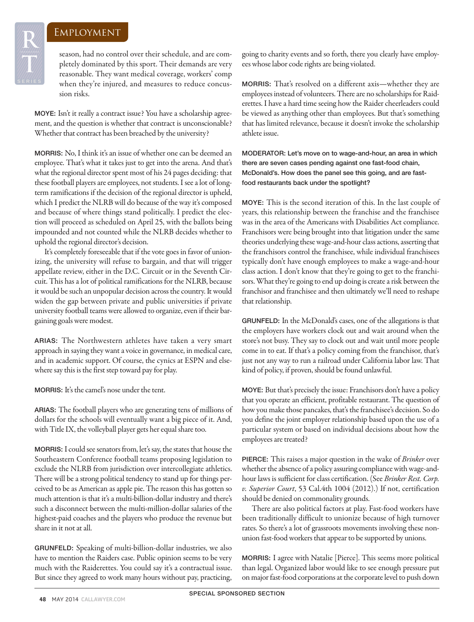**R**

**TAN** 

season, had no control over their schedule, and are completely dominated by this sport. Their demands are very reasonable. They want medical coverage, workers' comp when they're injured, and measures to reduce concussion risks.

MOYE: Isn't it really a contract issue? You have a scholarship agreement, and the question is whether that contract is unconscionable? Whether that contract has been breached by the university?

MORRIS: No, I think it's an issue of whether one can be deemed an employee. That's what it takes just to get into the arena. And that's what the regional director spent most of his 24 pages deciding: that these football players are employees, not students. I see a lot of longterm ramifications if the decision of the regional director is upheld, which I predict the NLRB will do because of the way it's composed and because of where things stand politically. I predict the election will proceed as scheduled on April 25, with the ballots being impounded and not counted while the NLRB decides whether to uphold the regional director's decision.

It's completely foreseeable that if the vote goes in favor of unionizing, the university will refuse to bargain, and that will trigger appellate review, either in the D.C. Circuit or in the Seventh Circuit. This has a lot of political ramifications for the NLRB, because it would be such an unpopular decision across the country. It would widen the gap between private and public universities if private university football teams were allowed to organize, even if their bargaining goals were modest.

ARIAS: The Northwestern athletes have taken a very smart approach in saying they want a voice in governance, in medical care, and in academic support. Of course, the cynics at ESPN and elsewhere say this is the first step toward pay for play.

MORRIS: It's the camel's nose under the tent.

ARIAS: The football players who are generating tens of millions of dollars for the schools will eventually want a big piece of it. And, with Title IX, the volleyball player gets her equal share too.

MORRIS: I could see senators from, let's say, the states that house the Southeastern Conference football teams proposing legislation to exclude the NLRB from jurisdiction over intercollegiate athletics. There will be a strong political tendency to stand up for things perceived to be as American as apple pie. The reason this has gotten so much attention is that it's a multi-billion-dollar industry and there's such a disconnect between the multi-million-dollar salaries of the highest-paid coaches and the players who produce the revenue but share in it not at all.

GRUNFELD: Speaking of multi-billion-dollar industries, we also have to mention the Raiders case. Public opinion seems to be very much with the Raiderettes. You could say it's a contractual issue. But since they agreed to work many hours without pay, practicing,

going to charity events and so forth, there you clearly have employees whose labor code rights are being violated.

MORRIS: That's resolved on a different axis—whether they are employees instead of volunteers. There are no scholarships for Raiderettes. I have a hard time seeing how the Raider cheerleaders could be viewed as anything other than employees. But that's something that has limited relevance, because it doesn't invoke the scholarship athlete issue.

MODERATOR: Let's move on to wage-and-hour, an area in which there are seven cases pending against one fast-food chain, McDonald's. How does the panel see this going, and are fastfood restaurants back under the spotlight?

MOYE: This is the second iteration of this. In the last couple of years, this relationship between the franchise and the franchisee was in the area of the Americans with Disabilities Act compliance. Franchisors were being brought into that litigation under the same theories underlying these wage-and-hour class actions, asserting that the franchisors control the franchisee, while individual franchisees typically don't have enough employees to make a wage-and-hour class action. I don't know that they're going to get to the franchisors. What they're going to end up doing is create a risk between the franchisor and franchisee and then ultimately we'll need to reshape that relationship.

GRUNFELD: In the McDonald's cases, one of the allegations is that the employers have workers clock out and wait around when the store's not busy. They say to clock out and wait until more people come in to eat. If that's a policy coming from the franchisor, that's just not any way to run a railroad under California labor law. That kind of policy, if proven, should be found unlawful.

MOYE: But that's precisely the issue: Franchisors don't have a policy that you operate an efficient, profitable restaurant. The question of how you make those pancakes, that's the franchisee's decision. So do you define the joint employer relationship based upon the use of a particular system or based on individual decisions about how the employees are treated?

PIERCE: This raises a major question in the wake of *Brinker* over whether the absence of a policy assuring compliance with wage-andhour laws is sufficient for class certification. (See *Brinker Rest. Corp. v. Superior Court*, 53 Cal.4th 1004 (2012).) If not, certification should be denied on commonality grounds.

There are also political factors at play. Fast-food workers have been traditionally difficult to unionize because of high turnover rates. So there's a lot of grassroots movements involving these nonunion fast-food workers that appear to be supported by unions.

MORRIS: I agree with Natalie [Pierce]. This seems more political than legal. Organized labor would like to see enough pressure put on major fast-food corporations at the corporate level to push down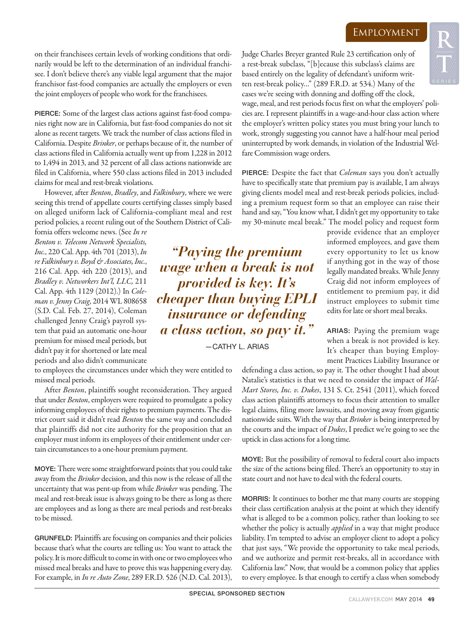on their franchisees certain levels of working conditions that ordinarily would be left to the determination of an individual franchisee. I don't believe there's any viable legal argument that the major franchisor fast-food companies are actually the employers or even the joint employers of people who work for the franchisees.

PIERCE: Some of the largest class actions against fast-food companies right now are in California, but fast-food companies do not sit alone as recent targets. We track the number of class actions filed in California. Despite *Brinker*, or perhaps because of it, the number of class actions filed in California actually went up from 1,228 in 2012 to 1,494 in 2013, and 32 percent of all class actions nationwide are filed in California, where 550 class actions filed in 2013 included claims for meal and rest-break violations.

However, after *Benton*, *Bradley*, and *Falkinbury*, where we were seeing this trend of appellate courts certifying classes simply based on alleged uniform lack of California-compliant meal and rest period policies, a recent ruling out of the Southern District of Cali-

fornia offers welcome news. (See *In re Benton v. Telecom Network Specialists, Inc.*, 220 Cal. App. 4th 701 (2013), *In re Falkinbury v. Boyd & Associates, Inc.*, 216 Cal. App. 4th 220 (2013), and *Bradley v. Networkers Int'l, LLC,* 211 Cal. App. 4th 1129 (2012).) In *Coleman v. Jenny Craig*, 2014 WL 808658 (S.D. Cal. Feb. 27, 2014), Coleman challenged Jenny Craig's payroll system that paid an automatic one-hour premium for missed meal periods, but didn't pay it for shortened or late meal periods and also didn't communicate

to employees the circumstances under which they were entitled to missed meal periods.

After *Benton*, plaintiffs sought reconsideration. They argued that under *Benton*, employers were required to promulgate a policy informing employees of their rights to premium payments. The district court said it didn't read *Benton* the same way and concluded that plaintiffs did not cite authority for the proposition that an employer must inform its employees of their entitlement under certain circumstances to a one-hour premium payment.

MOYE: There were some straightforward points that you could take away from the *Brinker* decision, and this now is the release of all the uncertainty that was pent-up from while *Brinker* was pending. The meal and rest-break issue is always going to be there as long as there are employees and as long as there are meal periods and rest-breaks to be missed.

GRUNFELD: Plaintiffs are focusing on companies and their policies because that's what the courts are telling us: You want to attack the policy. It is more difficult to come in with one or two employees who missed meal breaks and have to prove this was happening every day. For example, in *In re Auto Zone*, 289 F.R.D. 526 (N.D. Cal. 2013),

*"Paying the premium wage when a break is not provided is key. It's cheaper than buying EPLI insurance or defending a class action, so pay it."* 

—CATHY L. ARIAS

Judge Charles Breyer granted Rule 23 certification only of a rest-break subclass, "[b]ecause this subclass's claims are based entirely on the legality of defendant's uniform written rest-break policy…" (289 F.R.D. at 534.) Many of the cases we're seeing with donning and doffing off the clock,

wage, meal, and rest periods focus first on what the employers' policies are. I represent plaintiffs in a wage-and-hour class action where the employer's written policy states you must bring your lunch to work, strongly suggesting you cannot have a half-hour meal period uninterrupted by work demands, in violation of the Industrial Welfare Commission wage orders.

PIERCE: Despite the fact that *Coleman* says you don't actually have to specifically state that premium pay is available, I am always giving clients model meal and rest-break periods policies, including a premium request form so that an employee can raise their hand and say, "You know what, I didn't get my opportunity to take my 30-minute meal break." The model policy and request form

provide evidence that an employer informed employees, and gave them every opportunity to let us know if anything got in the way of those legally mandated breaks. While Jenny Craig did not inform employees of entitlement to premium pay, it did instruct employees to submit time edits for late or short meal breaks.

ARIAS: Paying the premium wage when a break is not provided is key. It's cheaper than buying Employment Practices Liability Insurance or

defending a class action, so pay it. The other thought I had about Natalie's statistics is that we need to consider the impact of *Wal-Mart Stores, Inc. v. Dukes*, 131 S. Ct. 2541 (2011), which forced class action plaintiffs attorneys to focus their attention to smaller legal claims, filing more lawsuits, and moving away from gigantic nationwide suits. With the way that *Brinker* is being interpreted by the courts and the impact of *Dukes*, I predict we're going to see the uptick in class actions for a long time.

MOYE: But the possibility of removal to federal court also impacts the size of the actions being filed. There's an opportunity to stay in state court and not have to deal with the federal courts.

MORRIS: It continues to bother me that many courts are stopping their class certification analysis at the point at which they identify what is alleged to be a common policy, rather than looking to see whether the policy is actually *applied* in a way that might produce liability. I'm tempted to advise an employer client to adopt a policy that just says, "We provide the opportunity to take meal periods, and we authorize and permit rest-breaks, all in accordance with California law." Now, that would be a common policy that applies to every employee. Is that enough to certify a class when somebody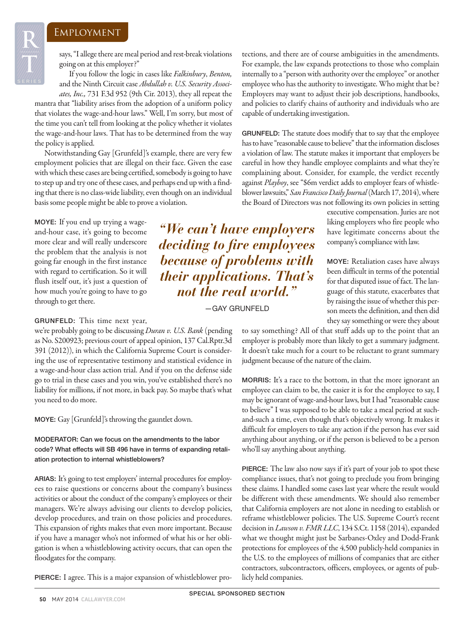says, "I allege there are meal period and rest-break violations going on at this employer?"

If you follow the logic in cases like *Falkinbury*, *Benton,* and the Ninth Circuit case *Abdullah v. U.S. Security Associ-*

*ates, Inc.,* 731 F.3d 952 (9th Cir. 2013), they all repeat the mantra that "liability arises from the adoption of a uniform policy that violates the wage-and-hour laws." Well, I'm sorry, but most of the time you can't tell from looking at the policy whether it violates the wage-and-hour laws. That has to be determined from the way the policy is applied.

Notwithstanding Gay [Grunfeld]'s example, there are very few employment policies that are illegal on their face. Given the ease with which these cases are being certified, somebody is going to have to step up and try one of these cases, and perhaps end up with a finding that there is no class-wide liability, even though on an individual basis some people might be able to prove a violation.

MOYE: If you end up trying a wageand-hour case, it's going to become more clear and will really underscore the problem that the analysis is not going far enough in the first instance with regard to certification. So it will flush itself out, it's just a question of how much you're going to have to go through to get there.

GRUNFELD: This time next year,

we're probably going to be discussing *Duran v. U.S. Bank* (pending as No. S200923; previous court of appeal opinion, 137 Cal.Rptr.3d 391 (2012)), in which the California Supreme Court is considering the use of representative testimony and statistical evidence in a wage-and-hour class action trial. And if you on the defense side go to trial in these cases and you win, you've established there's no liability for millions, if not more, in back pay. So maybe that's what you need to do more.

MOYE: Gay [Grunfeld]'s throwing the gauntlet down.

MODERATOR: Can we focus on the amendments to the labor code? What effects will SB 496 have in terms of expanding retaliation protection to internal whistleblowers?

ARIAS: It's going to test employers' internal procedures for employees to raise questions or concerns about the company's business activities or about the conduct of the company's employees or their managers. We're always advising our clients to develop policies, develop procedures, and train on those policies and procedures. This expansion of rights makes that even more important. Because if you have a manager who's not informed of what his or her obligation is when a whistleblowing activity occurs, that can open the floodgates for the company.

PIERCE: I agree. This is a major expansion of whistleblower pro-

tections, and there are of course ambiguities in the amendments. For example, the law expands protections to those who complain internally to a "person with authority over the employee" or another employee who has the authority to investigate. Who might that be? Employers may want to adjust their job descriptions, handbooks, and policies to clarify chains of authority and individuals who are capable of undertaking investigation.

GRUNFELD: The statute does modify that to say that the employee has to have "reasonable cause to believe" that the information discloses a violation of law. The statute makes it important that employers be careful in how they handle employee complaints and what they're complaining about. Consider, for example, the verdict recently against *Playboy*, see "\$6m verdict adds to employer fears of whistleblower lawsuits," *San Francisco Daily Journal* (March 17, 2014), where the Board of Directors was not following its own policies in setting

> executive compensation. Juries are not liking employers who fire people who have legitimate concerns about the company's compliance with law.

> MOYE: Retaliation cases have always been difficult in terms of the potential for that disputed issue of fact. The language of this statute, exacerbates that by raising the issue of whether this person meets the definition, and then did they say something or were they about

*"We can't have employers deciding to fire employees because of problems with their applications. That's not the real world."* 

—GAY GRUNFELD

to say something? All of that stuff adds up to the point that an employer is probably more than likely to get a summary judgment. It doesn't take much for a court to be reluctant to grant summary judgment because of the nature of the claim.

MORRIS: It's a race to the bottom, in that the more ignorant an employee can claim to be, the easier it is for the employee to say, I may be ignorant of wage-and-hour laws, but I had "reasonable cause to believe" I was supposed to be able to take a meal period at suchand-such a time, even though that's objectively wrong. It makes it difficult for employers to take any action if the person has ever said anything about anything, or if the person is believed to be a person who'll say anything about anything.

PIERCE: The law also now says if it's part of your job to spot these compliance issues, that's not going to preclude you from bringing these claims. I handled some cases last year where the result would be different with these amendments. We should also remember that California employers are not alone in needing to establish or reframe whistleblower policies. The U.S. Supreme Court's recent decision in *Lawson v. FMR LLC*, 134 S.Ct. 1158 (2014), expanded what we thought might just be Sarbanes-Oxley and Dodd-Frank protections for employees of the 4,500 publicly-held companies in the U.S. to the employees of millions of companies that are either contractors, subcontractors, officers, employees, or agents of publicly held companies.